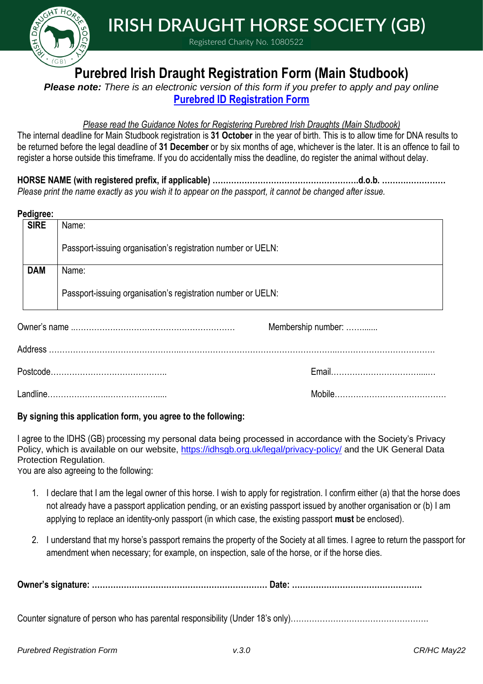

 **IRISH DRAUGHT HORSE SOCIETY (GB)**

Registered Charity No. 1080522

## **Purebred Irish Draught Registration Form (Main Studbook)**

*Please note: There is an electronic version of this form if you prefer to apply and pay online* **[Purebred ID Registration Form](https://r7phfkctgrj.typeform.com/to/K1p2QxsG?typeform-source=idhsgb.org.uk)**

## *Please read the Guidance Notes for Registering Purebred Irish Draughts (Main Studbook)*

The internal deadline for Main Studbook registration is **31 October** in the year of birth. This is to allow time for DNA results to be returned before the legal deadline of **31 December** or by six months of age, whichever is the later. It is an offence to fail to register a horse outside this timeframe. If you do accidentally miss the deadline, do register the animal without delay.

**HORSE NAME (with registered prefix, if applicable) ……………………………………………….d.o.b. ……………………** *Please print the name exactly as you wish it to appear on the passport, it cannot be changed after issue.* 

| Pedigree:         |                                                              |                    |
|-------------------|--------------------------------------------------------------|--------------------|
| <b>SIRE</b>       | Name:                                                        |                    |
|                   | Passport-issuing organisation's registration number or UELN: |                    |
| <b>DAM</b>        | Name:                                                        |                    |
|                   | Passport-issuing organisation's registration number or UELN: |                    |
|                   |                                                              | Membership number: |
|                   |                                                              |                    |
|                   |                                                              |                    |
| المستللة ويرود ال |                                                              | $M - L - L$        |

Landline…………………..………………..... Mobile……………………………………

## **By signing this application form, you agree to the following:**

I agree to the IDHS (GB) processing my personal data being processed in accordance with the Society's Privacy Policy, which is available on our website, <https://idhsgb.org.uk/legal/privacy-policy/> and the UK General Data Protection Regulation.

You are also agreeing to the following:

- 1. I declare that I am the legal owner of this horse. I wish to apply for registration. I confirm either (a) that the horse does not already have a passport application pending, or an existing passport issued by another organisation or (b) I am applying to replace an identity-only passport (in which case, the existing passport **must** be enclosed).
- 2. I understand that my horse's passport remains the property of the Society at all times. I agree to return the passport for amendment when necessary; for example, on inspection, sale of the horse, or if the horse dies.

**Owner's signature: ………………………………………………………… Date: ………………………………………….**

Counter signature of person who has parental responsibility (Under 18's only)…………………………………………………………